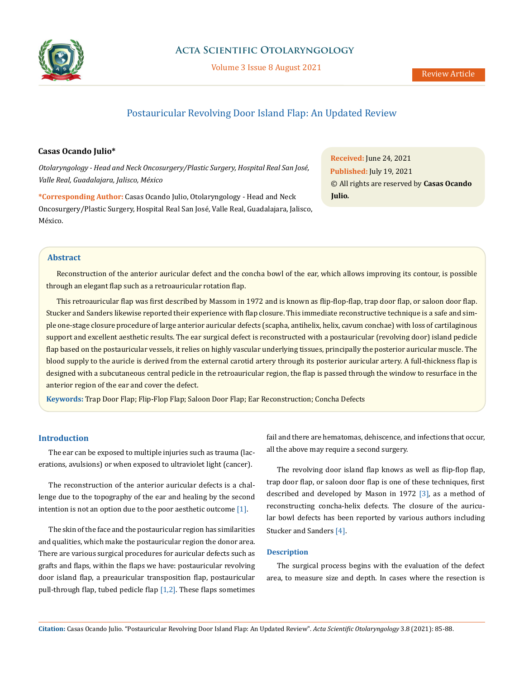

# **Acta Scientific Otolaryngology**

Volume 3 Issue 8 August 2021

# Postauricular Revolving Door Island Flap: An Updated Review

## **Casas Ocando Julio\***

*Otolaryngology - Head and Neck Oncosurgery/Plastic Surgery, Hospital Real San José, Valle Real, Guadalajara, Jalisco, México*

**\*Corresponding Author:** Casas Ocando Julio, Otolaryngology - Head and Neck Oncosurgery/Plastic Surgery, Hospital Real San José, Valle Real, Guadalajara, Jalisco, México.

**Received:** June 24, 2021 **Published:** July 19, 2021 © All rights are reserved by **Casas Ocando Julio***.*

## **Abstract**

Reconstruction of the anterior auricular defect and the concha bowl of the ear, which allows improving its contour, is possible through an elegant flap such as a retroauricular rotation flap.

This retroauricular flap was first described by Massom in 1972 and is known as flip-flop-flap, trap door flap, or saloon door flap. Stucker and Sanders likewise reported their experience with flap closure. This immediate reconstructive technique is a safe and simple one-stage closure procedure of large anterior auricular defects (scapha, antihelix, helix, cavum conchae) with loss of cartilaginous support and excellent aesthetic results. The ear surgical defect is reconstructed with a postauricular (revolving door) island pedicle flap based on the postauricular vessels, it relies on highly vascular underlying tissues, principally the posterior auricular muscle. The blood supply to the auricle is derived from the external carotid artery through its posterior auricular artery. A full-thickness flap is designed with a subcutaneous central pedicle in the retroauricular region, the flap is passed through the window to resurface in the anterior region of the ear and cover the defect.

**Keywords:** Trap Door Flap; Flip-Flop Flap; Saloon Door Flap; Ear Reconstruction; Concha Defects

## **Introduction**

The ear can be exposed to multiple injuries such as trauma (lacerations, avulsions) or when exposed to ultraviolet light (cancer).

The reconstruction of the anterior auricular defects is a challenge due to the topography of the ear and healing by the second intention is not an option due to the poor aesthetic outcome [1].

The skin of the face and the postauricular region has similarities and qualities, which make the postauricular region the donor area. There are various surgical procedures for auricular defects such as grafts and flaps, within the flaps we have: postauricular revolving door island flap, a preauricular transposition flap, postauricular pull-through flap, tubed pedicle flap [1,2]. These flaps sometimes fail and there are hematomas, dehiscence, and infections that occur, all the above may require a second surgery.

The revolving door island flap knows as well as flip-flop flap, trap door flap, or saloon door flap is one of these techniques, first described and developed by Mason in 1972 [3], as a method of reconstructing concha-helix defects. The closure of the auricular bowl defects has been reported by various authors including Stucker and Sanders [4].

#### **Description**

The surgical process begins with the evaluation of the defect area, to measure size and depth. In cases where the resection is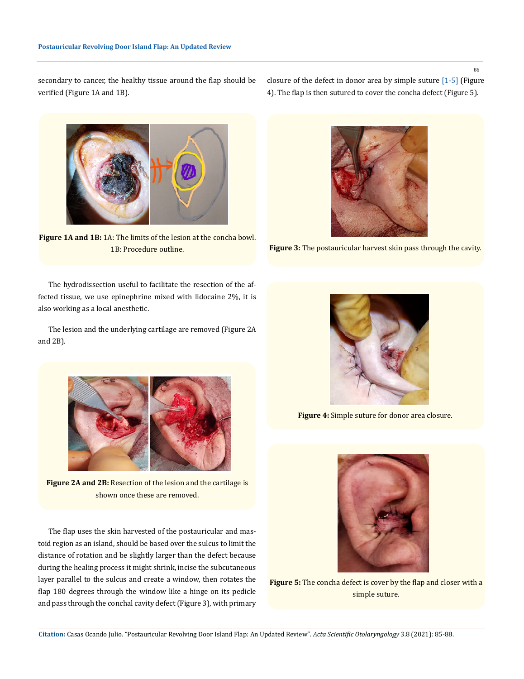86

secondary to cancer, the healthy tissue around the flap should be verified (Figure 1A and 1B).

closure of the defect in donor area by simple suture [1-5] (Figure 4). The flap is then sutured to cover the concha defect (Figure 5).



Figure 1A and 1B: 1A: The limits of the lesion at the concha bowl. 1B: Procedure outline.

The hydrodissection useful to facilitate the resection of the affected tissue, we use epinephrine mixed with lidocaine 2%, it is also working as a local anesthetic.

The lesion and the underlying cartilage are removed (Figure 2A and 2B).



**Figure 2A and 2B:** Resection of the lesion and the cartilage is shown once these are removed.

The flap uses the skin harvested of the postauricular and mastoid region as an island, should be based over the sulcus to limit the distance of rotation and be slightly larger than the defect because during the healing process it might shrink, incise the subcutaneous layer parallel to the sulcus and create a window, then rotates the flap 180 degrees through the window like a hinge on its pedicle and pass through the conchal cavity defect (Figure 3), with primary



**Figure 3:** The postauricular harvest skin pass through the cavity.



**Figure 4:** Simple suture for donor area closure.



**Figure 5:** The concha defect is cover by the flap and closer with a simple suture.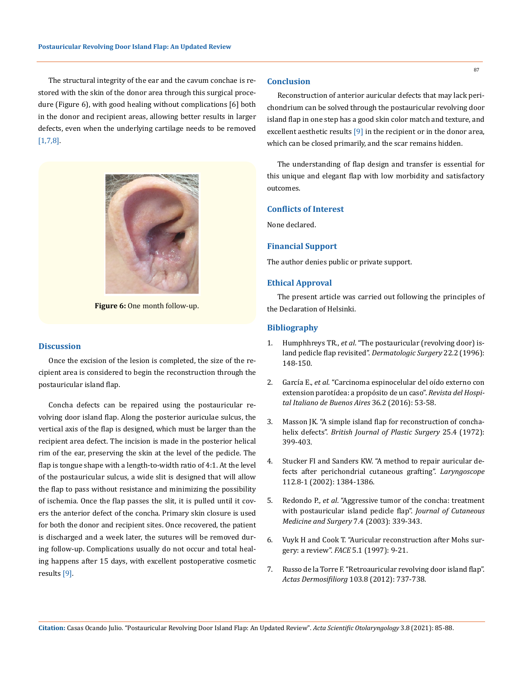The structural integrity of the ear and the cavum conchae is restored with the skin of the donor area through this surgical procedure (Figure 6), with good healing without complications [6] both in the donor and recipient areas, allowing better results in larger defects, even when the underlying cartilage needs to be removed [1,7,8].



**Figure 6:** One month follow-up.

#### **Discussion**

Once the excision of the lesion is completed, the size of the recipient area is considered to begin the reconstruction through the postauricular island flap.

Concha defects can be repaired using the postauricular revolving door island flap. Along the posterior auriculae sulcus, the vertical axis of the flap is designed, which must be larger than the recipient area defect. The incision is made in the posterior helical rim of the ear, preserving the skin at the level of the pedicle. The flap is tongue shape with a length-to-width ratio of 4:1. At the level of the postauricular sulcus, a wide slit is designed that will allow the flap to pass without resistance and minimizing the possibility of ischemia. Once the flap passes the slit, it is pulled until it covers the anterior defect of the concha. Primary skin closure is used for both the donor and recipient sites. Once recovered, the patient is discharged and a week later, the sutures will be removed during follow-up. Complications usually do not occur and total healing happens after 15 days, with excellent postoperative cosmetic results [9].

#### **Conclusion**

Reconstruction of anterior auricular defects that may lack perichondrium can be solved through the postauricular revolving door island flap in one step has a good skin color match and texture, and excellent aesthetic results [9] in the recipient or in the donor area, which can be closed primarily, and the scar remains hidden.

The understanding of flap design and transfer is essential for this unique and elegant flap with low morbidity and satisfactory outcomes.

## **Conflicts of Interest**

None declared.

#### **Financial Support**

The author denies public or private support.

## **Ethical Approval**

The present article was carried out following the principles of the Declaration of Helsinki.

#### **Bibliography**

- 1. Humphhreys TR., *et al*[. "The postauricular \(revolving door\) is](https://pubmed.ncbi.nlm.nih.gov/8608376/)[land pedicle flap revisited".](https://pubmed.ncbi.nlm.nih.gov/8608376/) *Dermatologic Surgery* 22.2 (1996): [148-150.](https://pubmed.ncbi.nlm.nih.gov/8608376/)
- 2. García E., *et al*[. "Carcinoma espinocelular del oído externo con](https://instituto.hospitalitaliano.org.ar/multimedia/archivos/noticias_attachs/47/documentos/26337_4-%20caso%20clin%2036-2.pdf)  [extension parotídea: a propósito de un caso".](https://instituto.hospitalitaliano.org.ar/multimedia/archivos/noticias_attachs/47/documentos/26337_4-%20caso%20clin%2036-2.pdf) *Revista del Hospi[tal Italiano de Buenos Aires](https://instituto.hospitalitaliano.org.ar/multimedia/archivos/noticias_attachs/47/documentos/26337_4-%20caso%20clin%2036-2.pdf)* 36.2 (2016): 53-58.
- 3. [Masson JK. "A simple island flap for reconstruction of concha](https://pubmed.ncbi.nlm.nih.gov/4567027/)helix defects". *[British Journal of Plastic Surgery](https://pubmed.ncbi.nlm.nih.gov/4567027/)* 25.4 (1972): [399-403.](https://pubmed.ncbi.nlm.nih.gov/4567027/)
- 4. [Stucker FI and Sanders KW. "A method to repair auricular de](https://pubmed.ncbi.nlm.nih.gov/12172249/)[fects after perichondrial cutaneous grafting".](https://pubmed.ncbi.nlm.nih.gov/12172249/) *Laryngoscope* [112.8-1 \(2002\): 1384-1386.](https://pubmed.ncbi.nlm.nih.gov/12172249/)
- 5. Redondo P., *et al*[. "Aggressive tumor of the concha: treatment](https://pubmed.ncbi.nlm.nih.gov/14738102/)  [with postauricular island pedicle flap".](https://pubmed.ncbi.nlm.nih.gov/14738102/) *Journal of Cutaneous [Medicine and Surgery](https://pubmed.ncbi.nlm.nih.gov/14738102/)* 7.4 (2003): 339-343.
- 6. [Vuyk H and Cook T. "Auricular reconstruction after Mohs sur](http://www.vuykfaris.nl/publicaties/007.pdf)gery: a review". *FACE* [5.1 \(1997\): 9-21.](http://www.vuykfaris.nl/publicaties/007.pdf)
- 7. [Russo de la Torre F. "Retroauricular revolving door island flap".](https://www.actasdermo.org/en-retroauricular-revolving-door-island-flap-articulo-S1578219012002661)  *Actas Dermosifiliorg* [103.8 \(2012\): 737-738.](https://www.actasdermo.org/en-retroauricular-revolving-door-island-flap-articulo-S1578219012002661)